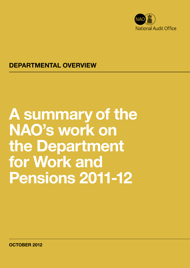

### DEPARTMENTAL OVERVIEW

# A summary of the NAO's work on the Department for Work and Pensions 2011-12

OCTOBER 2012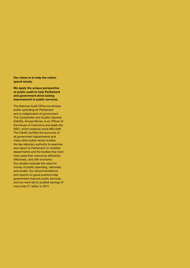Our vision is to help the nation spend wisely.

We apply the unique perspective of public audit to help Parliament and government drive lasting improvement in public services.

The National Audit Office scrutinises public spending for Parliament and is independent of government. The Comptroller and Auditor General (C&AG), Amyas Morse, is an Officer of the House of Commons and leads the NAO, which employs some 860 staff. The C&AG certifies the accounts of all government departments and many other public sector bodies. He has statutory authority to examine and report to Parliament on whether departments and the bodies they fund have used their resources efficiently, effectively, and with economy. Our studies evaluate the value for money of public spending, nationally and locally. Our recommendations and reports on good practice help government improve public services, and our work led to audited savings of more than £1 billion in 2011.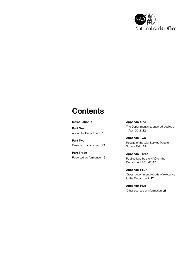

### **Contents**

#### [Introduction](#page-3-0) 4

[Part One](#page-4-0) [About the Department](#page-4-0) 5

[Part Two](#page-11-0) [Financial management](#page-11-0) 12

[Part Three](#page-15-0) [Reported performance](#page-15-0) 16 [Appendix One](#page-21-0) [The Department's sponsored bodies on](#page-21-0)  [1 April 2012](#page-21-0) 22

[Appendix Two](#page-23-0) [Results of the Civil Service People](#page-23-0)  [Survey 2011](#page-23-0) 24

[Appendix Three](#page-25-0) [Publications by the NAO on the](#page-25-0)  [Department 2011-12](#page-25-0) 26

[Appendix Four](#page-26-0) [Cross-government reports of relevance](#page-26-0)  [to the Department](#page-26-0) 27

[Appendix Five](#page-27-0) [Other sources of information](#page-27-0) 28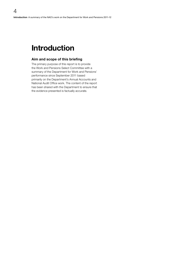### Introduction

<span id="page-3-0"></span>4

#### Aim and scope of this briefing

The primary purpose of this report is to provide the Work and Pensions Select Committee with a summary of the Department for Work and Pensions' performance since September 2011 based primarily on the Department's Annual Accounts and National Audit Office work. The content of the report has been shared with the Department to ensure that the evidence presented is factually accurate.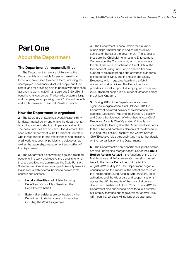# <span id="page-4-0"></span>Part One

### About the Department

#### The Department's responsibilities

1 The Department for Work and Pensions (the Department) is responsible for paying benefits to those who are entitled to receive them, including the unemployed, pensioners, disabled people and their carers, and for providing help to people without jobs to get back to work. In 2011-12, it paid out £160 billion in benefits to its customers. The benefits system is large and complex, encompassing over 27 different benefits and a total caseload of around 20 million people.

#### How the Department is organised

2 The Secretary of State has overall responsibility for departmental policy and chairs the departmental board to provide strategic and operational direction. The board includes five non-executive directors. The head of the Department is the Permanent Secretary who is responsible for the effectiveness and efficiency of all work in support of policies and objectives, as well as the leadership, management and staffing of the Department.

**3** The Department helps working age and disabled people to find work and receive the benefits to which they are entitled, and administers the State Pension, State Pension Credit and a range of disability benefits. It also works with external bodies to deliver some benefits and services:

- **C** Local authorities: administer Housing Benefit and Council Tax Benefit on the Department's behalf.
- **External providers:** are contracted by the Department to deliver some of its activities, including the Work Programme.

4 The Department is accountable for a number of non-departmental public bodies which deliver services on behalf of the government. The largest of these are the Child Maintenance and Enforcement Commission (the Commission), which administers the child maintenance scheme in Great Britain, the Independent Living Fund, which delivers financial support to disabled people and advances standards of independent living, and the Health and Safety Executive, which regulates health and safety in respect of work activities. The Department also provides financial support to Remploy, which employs 2,500 disabled people in a number of factories across the United Kingdom.

5 During 2011-12 the Department underwent significant reorganisation. Until October 2011 the Department devolved delivery of its services to two agencies (Jobcentre Plus and the Pension, Disability and Carers Service) each of which had its own Chief Executive. A single Chief Operating Officer is now responsible for leading all of the Department's services to the public and combines elements of the Jobcentre Plus and the Pension, Disability and Carers Service Chief Executive roles (Appendix One has further details on the reorganisation of the Department).

**6** The Department's non-departmental public bodies are also undergoing reorganisation. Under the **Public** Bodies Reform Act 2011, the functions of the Child Maintenance and Enforcement Commission passed back to the central Department with effect from August 2012. In July 2012 the Department began a consultation on the impact of the potential closure of the Independent Living Fund in 2015 on users, local authorities and the wider care and support systems across the UK; the results of this consultation are due to be published in Autumn 2012. In July 2012 the Department also announced plans to take a number of Remploy factories out of government control. This will mean that 27 sites will no longer be operating.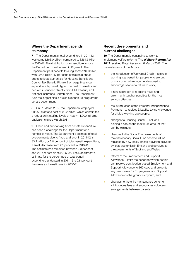#### Where the Department spends its money

7 The Department's total expenditure in 2011-12 was some £168.0 billion, compared to £161.5 billion in 2010-11. The distribution of expenditure across the Department can be seen in Figure 1. The Department paid benefits totalling some £160 billion, with £27.8 billion (17 per cent) of this paid out as grants to local authorities for Housing Benefit and Council Tax Benefit. Figure 2 on page 8 sets out expenditure by benefit type. The cost of benefits and pensions is funded directly from HM Treasury and National Insurance Contributions. The Department runs the largest single public expenditure programme across government.

8 On 31 March 2012, the Department employed 99,958 staff at a cost of £3.2 billion, which constitutes a reduction in staffing levels of nearly 11,000 full-time equivalents since March 2011.

**9** Fraud and error arising from benefit expenditure has been a challenge for the Department for a number of years. The Department's estimate of total overpayments due to fraud and error in 2011-12 is £3.2 billion, or 2.0 per cent of total benefit expenditure; a small decrease from 2.1 per cent in 2010-11. The estimate has remained between 2.0 per cent and 2.2 per cent since 2005-06. The Department's estimate for the percentage of total benefit expenditure underpaid in 2011-12 is 0.8 per cent, the same as the estimate for 2010-11.

#### Recent developments and current challenges

10 The Department is continuing to work to implement welfare reforms. The Welfare Reform Act 2012 received Royal Assent on 8 March 2012. The main elements of the Act are:

- $\bullet$  the introduction of Universal Credit a single working age benefit for people who are out of work or on a low income, designed to encourage people to return to work;
- **a** a new approach to reducing fraud and error – with tougher penalties for the most serious offences;
- **o** the introduction of the Personal Independence Payment – to replace Disability Living Allowance for eligible working age people;
- <sup>O</sup> changes to Housing Benefit includes placing a cap on the maximum amount that can be claimed;
- changes to the Social Fund elements of the discretionary Social Fund scheme will be replaced by new locally-based provision delivered by local authorities in England and devolved to the governments of Scotland and Wales;
- **•** reform of the Employment and Support Allowance – limits the period for which people can receive contribution-based Employment and Support Allowance to 365 days and prevents any new claims for Employment and Support Allowance on the grounds of youth; and
- changes to the child maintenance scheme – introduces fees and encourages voluntary arrangements between parents.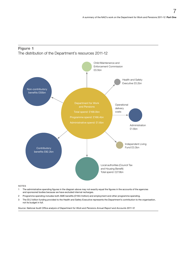



- 1 The administrative spending figures in the diagram above may not exactly equal the figures in the accounts of the agencies and sponsored bodies because we have excluded internal recharges.
- 2 Programme spending includes both AME benefits (£159.3 billion) and employment and other programme spending.
- 3 The £0.2 billion funding provided to the Health and Safety Executive represents the Department's contribution to the organisation, not its budget in full.

*Source: [National Audit Office analysis of Department for Work and Pensions Annual Report and Accounts 2011-12](http://www.dwp.gov.uk/docs/dwp-annual-report-and-accounts-2011-2012.pdf)*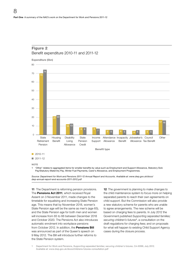

### Figure 2

**NOTE** 

1 'Other' relates to aggregated items for smaller benefits by value such as Employment and Support Allowance, Statutory Sick Pay/Statutory Maternity Pay, Winter Fuel Payments, Carer's Allowance, and Employment Programmes.

*Source: Department for Work and Pensions 2011-12 Annual Report and Accounts. Available a[t: www.dwp.gov.uk/docs/](http://www.dwp.gov.uk/docs/dwp-annual-report-and-accounts-2011-2012.pdf) [dwp-annual-report-and-accounts-2011-2012.pdf](http://www.dwp.gov.uk/docs/dwp-annual-report-and-accounts-2011-2012.pdf)*

11 The Department is reforming pension provisions. The Pensions Act 2011, which received Royal Assent on 3 November 2011, made changes to the timetable for equalising and increasing State Pension age. This means that by November 2018, women's State Pension age will be the same as men's (age 65), and the State Pension age for both men and women will increase from 65 to 66 between December 2018 and October 2020. The Pensions Act also introduces automatic enrolment into workplace pensions from October 2012. In addition, the Pensions Bill was announced as part of the Queen's speech on 9 May 2012. The Bill will introduce further reforms to the State Pension system.

12 The government is planning to make changes to the child maintenance system to focus more on helping separated parents to reach their own agreements on child support. But the Commission will also provide a new statutory scheme for parents who are unable to agree arrangements. The new scheme will be based on charging fees to parents. In July 2012 the Government published *Supporting separated families; securing children's futures*<sup>1</sup> , a consultation on the draft regulations for charging fees; and on proposals for what will happen to existing Child Support Agency cases during the closure process.

1 Department for Work and Pensions, *Supporting separated families; securing children's futures*, Cm 8399, July 2012. Available at: [www.dwp.gov.uk/docs/childrens-futures-consultation.pdf](http://www.dwp.gov.uk/docs/childrens-futures-consultation.pdf)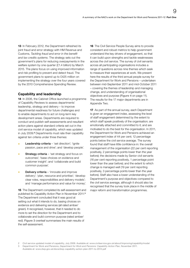13 In February 2012, the Department refreshed its joint fraud and error strategy with HM Revenue and Customs, *Tackling fraud and error in the benefit and tax credits systems*. The strategy sets out the government's plans for reducing overpayments in the welfare system by one quarter (£1.4 billion) by March 2015. The plans focus on using improved information and risk profiling to prevent and detect fraud. The government plans to spend up to £425 million on implementing the strategy over the four years covered by the 2010 Comprehensive Spending Review.

#### Capability and leadership

14 In 2006, the Cabinet Office launched a programme of Capability Reviews to assess departments' leadership, strategy and delivery – to improve departmental readiness for future challenges and to enable departments to act on long-term key development areas. Departments are required to conduct and publish self-assessments and resultant action plans against standard criteria set out in the civil service model of capability, which was updated in July 2009.<sup>2</sup> Departments must rate their capability against ten criteria under three themes:

- $\bullet$  Leadership criteria 'set direction'; 'ignite passion, pace and drive'; and 'develop people'.
- **Strategy criteria** 'set strategy and focus on outcomes'; 'base choices on evidence and customer insight'; and 'collaborate and build common purpose'.
- Delivery criteria 'innovate and improve delivery'; 'plan, resource and prioritise'; 'develop clear roles, responsibilities and delivery models'; and 'manage performance and value for money'.

15 The Department completed its self-assessment and published its Capability Action Plan in November 2011.<sup>3</sup> The Department concluded that it was good at setting out what it intends to do, basing choices on evidence and delivering services (all rated amber/ green). It recognised, however, that it needed to do more to set the direction for the Department and to collaborate and build common purpose (rated amber/ red). Figure 3 overleaf summarises the main results of the self-assessment.

**16** The Civil Service People Survey aims to provide consistent and robust metrics to help government understand the key drivers of engagement, so that it can build upon strengths and tackle weaknesses across the civil service. The survey of civil servants across all participating organisations includes a range of questions across nine themes which seek to measure their experiences at work. We present here the results of the third annual people survey for the Department for Work and Pensions – undertaken between mid-September 2011 and mid-October 2011 – covering the themes of leadership and managing change, and understanding of organisational objectives and purpose (Figure 4 on page 11). The results for the 17 major departments are in Appendix Two.

17 As part of the annual survey, each Department is given an engagement index, assessing the level of staff engagement determined by the extent to which staff speak positively of the organisation; are emotionally attached and committed to it; and are motivated to do the best for the organisation. In 2011, the Department for Work and Pensions achieved an engagement index of 44 per cent; 12 percentage points below the civil service average. The survey found that staff have little confidence in: the overall management of the organisation (22 per cent reporting positively, 2 percentage points lower than the year before); the decisions made by Senior civil servants (16 per cent reporting positively, 1 percentage point lower than the year before); and the extent to which change is managed well (19 per cent reporting positively, 3 percentage points lower than the year before). Staff also have a lower understanding of the Department's purpose and objectives compared to the civil service average, although it should also be recognised that the survey took place in the middle of major reform and transformation programmes.

<sup>2</sup> Civil service updated model of capability, July 2009. Available at: [www.civilservice.gov.uk/about/improving/capability/model](http://www.civilservice.gov.uk/about/improving/capability/model) 3 Department for Work and Pensions, *Department for Work and Pensions: Capability Action Plan*, November 2011.

Available at: [www.dwp.gov.uk/docs/dwp-capability-action-plan-2011-to-2012.pdf](http://www.dwp.gov.uk/docs/dwp-capability-action-plan-2011-to-2012.pdf)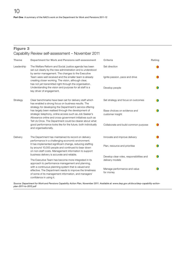#### Figure 3 Capability Review self-assessment – November 2011

| <b>Theme</b> | <b>Department for Work and Pensions self-assessment</b>                                                                                                                                                                                  | Criteria                                         | Rating |
|--------------|------------------------------------------------------------------------------------------------------------------------------------------------------------------------------------------------------------------------------------------|--------------------------------------------------|--------|
| Leadership   | The Welfare Reform and Social Justice agenda has been<br>set out clearly by the new administration and is understood<br>by senior management. The changes to the Executive                                                               | Set direction                                    |        |
|              | Team were well received and the smaller team is already<br>creating closer working. The vision, although clear,<br>has not yet transmitted right through the organisation.                                                               | Ignite passion, pace and drive                   |        |
|              | Understanding the vision and purpose for all staff is a<br>key driver of engagement.                                                                                                                                                     | Develop people                                   |        |
| Strategy     | Clear benchmarks have been set for delivery staff which<br>has enabled a strong focus on business results. The<br>strategy for developing the Department's service offering                                                              | Set strategy and focus on outcomes               |        |
|              | has largely been realised through the development of<br>strategic telephony, online access such as Job Seeker's<br>Allowance online and cross-government initiatives such as<br>Tell Us Once. The Department could be clearer about what | Base choices on evidence and<br>customer insight |        |
|              | good performance looks like for the future, both individually<br>and organisationally.                                                                                                                                                   | Collaborate and build common purpose             |        |
| Delivery     | The Department has maintained its record on delivery<br>performance in a challenging economic environment.                                                                                                                               | Innovate and improve delivery                    |        |
|              | It has implemented significant change, reducing staffing<br>by around 10,000 people and continued to bear down<br>on non-staff costs. Management information to support                                                                  | Plan, resource and prioritise                    |        |
|              | business delivery is accurate and reliable.                                                                                                                                                                                              | Develop clear roles, responsibilities and        |        |
|              | The Executive Team has become more integrated in its<br>approach to performance management and planning,                                                                                                                                 | delivery models                                  |        |
|              | with a continuous planning system that is valued and<br>effective. The Department needs to improve the timeliness<br>of some of its management information, and managers'<br>confidence in using it.                                     | Manage performance and value<br>for money        |        |

*Source: Department for Work and Pensions Capability Action Plan, November 2011. Available at: [www.dwp.gov.uk/docs/dwp-capability-action](http://www.dwp.gov.uk/docs/dwp-capability-action-plan-2011-to-2012.pdf)[plan-2011-to-2012.pdf](http://www.dwp.gov.uk/docs/dwp-capability-action-plan-2011-to-2012.pdf)*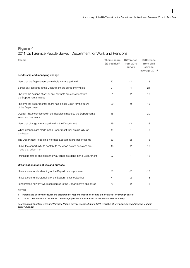#### Figure 4

#### 2011 Civil Service People Survey: Department for Work and Pensions

| <b>Theme</b>                                                                                  | Theme score<br>$(%$ positive) <sup>1</sup> | <b>Difference</b><br>from 2010<br>survey | <b>Difference</b><br>from civil<br>service<br>average 2011 <sup>2</sup> |
|-----------------------------------------------------------------------------------------------|--------------------------------------------|------------------------------------------|-------------------------------------------------------------------------|
| Leadership and managing change                                                                |                                            |                                          |                                                                         |
| I feel that the Department as a whole is managed well                                         | 23                                         | $-2$                                     | $-18$                                                                   |
| Senior civil servants in the Department are sufficiently visible                              | 21                                         | $-4$                                     | $-24$                                                                   |
| I believe the actions of senior civil servants are consistent with<br>the Department's values | 21                                         | $-2$                                     | $-18$                                                                   |
| I believe the departmental board has a clear vision for the future<br>of the Department       | 20                                         | $\overline{O}$                           | $-19$                                                                   |
| Overall, I have confidence in the decisions made by the Department's<br>senior civil servants | 16                                         | $-1$                                     | $-20$                                                                   |
| I feel that change is managed well in the Department                                          | 19                                         | -3                                       | -8                                                                      |
| When changes are made in the Department they are usually for<br>the better                    | 14                                         | $-1$                                     | -8                                                                      |
| The Department keeps me informed about matters that affect me                                 | 39                                         | -2                                       | -16                                                                     |
| I have the opportunity to contribute my views before decisions are<br>made that affect me     | 18                                         | $-2$                                     | $-18$                                                                   |
| I think it is safe to challenge the way things are done in the Department                     | 27                                         | $-1$                                     | -12                                                                     |
| Organisational objectives and purpose                                                         |                                            |                                          |                                                                         |
| I have a clear understanding of the Department's purpose                                      | 73                                         | $-2$                                     | $-10$                                                                   |
| I have a clear understanding of the Department's objectives                                   | 71                                         | $-2$                                     | -8                                                                      |
| I understand how my work contributes to the Department's objectives                           | 73                                         | $-2$                                     | -8                                                                      |

NOTES

1 Percentage positive measures the proportion of respondents who selected either "agree" or "strongly agree".

2 The 2011 benchmark is the median percentage positive across the 2011 Civil Service People Survey.

*Source: Department for Work and Pensions People Survey Results, Autumn 2011. Available at: [www.dwp.gov.uk/docs/dwp-autumn](http://www.dwp.gov.uk/docs/dwp-autumn-survey-2011.pdf)[survey-2011.pdf](http://www.dwp.gov.uk/docs/dwp-autumn-survey-2011.pdf)*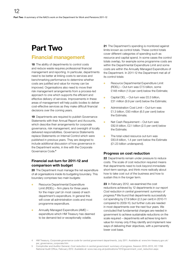# <span id="page-11-0"></span>Part Two

### Financial management

18 The ability of departments to control costs and reduce waste requires professional financial management and reporting. In particular, departments need to be better at linking costs to services and benchmarking performance to determine whether costs are justified and value for money can be improved. Organisations also need to move their risk management arrangements from a process-led approach to one which supports the efficient and effective delivery of services. Improvements in these areas of management will help public bodies to deliver cost-effective services as they make difficult financial decisions over the coming years.

19 Departments are required to publish Governance Statements with their Annual Report and Accounts, which describe their arrangements for corporate governance, risk management, and oversight of locally delivered responsibilities. Governance Statements replace Statements on Internal Control which were published in previous years. They are designed to include additional discussion of how governance in the Department works, in line with the Corporate Governance Code.<sup>4</sup>

#### Financial out-turn for 2011-12 and comparison with budget

20 The Department must manage the net expenditure of all organisations inside its budgeting boundary. This boundary comprises two main budgets:

- Resource Departmental Expenditure Limit (RDEL) – firm plans for three years for the major part (in most cases) of each department's expenditure. In general this will cover all administration costs and most programme expenditure.
- Annually Managed Expenditure (AME) expenditure which HM Treasury has deemed to be demand-led or exceptionally volatile.

21 The Department's spending is monitored against limits known as control totals. These control totals cover different categories of spending such as resource and capital spend. In some cases the control totals overlap, for example some programme costs are within the Departmental Expenditure Limit and some costs are within the Annually Managed Expenditure of the Department. In 2011-12 the Department met all of its control totals:

- Resource Departmental Expenditure Limit (RDEL) – Out-turn was £7.5 billion, some £148 million (1.9 per cent) below the Estimate;
- Capital DEL Out-turn was £0.3 billion, £31 million (9.9 per cent) below the Estimate;
- **•** Administration Cost Limit Out-turn was £1.3 billion, £93 million (6.5 per cent) below the Estimate;
- O Net Cash Requirement Out-turn was £82.8 billion, £2.1 billion (2.5 per cent) below the Estimate;
- <sup>O</sup> The total voted resource out-turn was £83.8 billion, 1.4 per cent below the Estimate (£1.23 billion underspend).

#### Progress on cost reduction

22 Departments remain under pressure to reduce costs. The scale of cost reduction required means that departments need to look beyond immediate short-term savings, and think more radically about how to take cost out of the business and how to sustain this in the longer term.

23 In February 2012, we examined the cost reductions achieved by 12 departments in our report *Cost reduction in central government: summary of progress*. 5 We found that departments successfully cut spending by £7.9 billion (2.3 per cent) in 2010-11 compared to 2009-10, but further cuts are needed in most departments over the next four years. We concluded that fundamental changes are needed in government to achieve sustainable reductions on the scale required – departments will achieve long-term value for money only if they identify and implement new ways of delivering their objectives, with a permanently lower cost base.

<sup>4</sup> HM Treasury, *Corporate governance code for central government departments*, July 2011. Available at: [www.hm-treasury.gov.uk/](http://www.hm-treasury.gov.uk/psr_governance_corporate.htm) [psr\\_governance\\_corporate.htm](http://www.hm-treasury.gov.uk/psr_governance_corporate.htm)

<sup>5</sup> Comptroller and Auditor General, *Cost reduction in central government: summary of progress*, Session 2010–2012, HC 1788 National Audit Office, February 2012. Available at: [www.nao.org.uk/publications/1012/government\\_cost\\_reduction.aspx](http://www.nao.org.uk/publications/1012/government_cost_reduction.aspx)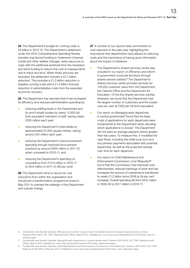24 The Department's budget for running costs is £8 billion in 2012-13. The Department's settlement under the 2010 Comprehensive Spending Review includes ring-fenced funding to implement Universal Credit and other welfare changes, extra resources to cope with the additional workload from the recession, and extra funding to reduce the cost of overpayments due to fraud and error. When these amounts are excluded, the settlement includes a £2.7 billion reduction. This includes a £1.3 billion reduction in baseline running costs and a £1.4 billion forecast reduction in administrative costs from the expected economic recovery.

25 The Department has reported that it has increased its efficiency and reduced administrative spending by:

- **•** reducing staffing levels in the Department and its arm's-length bodies by nearly 11,000 fulltime equivalent members of staff, saving nearly £325 million each year;
- **o** reducing the Department's total estate by approximately 61,000 square metres, saving around £24 million each year;
- **o** reducing the Department's total procurement spending through improved procurement practices by around £900 million in 2011-12, when compared to 2010-11; and
- reducing the Department's spending on consultancy from £13.8 million in 2010-11 to £8.8 million in 2011-12 (36 per cent).

26 The Department aims to secure its cost reductions from within the organisation and introduced a transformation programme board in May 2011 to oversee the redesign of the Department and cultural change.

27 A number of our reports have commented on cost reduction in the past year, highlighting the importance that departments have placed on reducing costs and the importance of having good information about the impact of initiatives:

- The Department's shared services centre was included in our report on *Efficiency and reform in government corporate functions through shared service centres.*<sup>6</sup> The Department's shared services centre provides services for 130,000 customer users from the Department, the Cabinet Office and the Department for Education. Of the five shared services centres reviewed, we found that the Department had the largest number of customers and the lowest cost per user at £500 per full-time equivalent.
	- <sup>O</sup> Our report on *Managing early departures in central government*<sup>7</sup> found that the likely costs of applications for early departures were fundamental to the Department when deciding which applications to accept. The Department did not want an average payback period greater than two years. To measure this, it modelled the cash flows, including the initial lump sum and any pension payments associated with potential departures, as well as the projected savings over time for each departure.
	- Our report on *Child Maintenance and Enforcement Commission: Cost Reduction*<sup>8</sup> found that the Commission has improved costeffectiveness, reduced backlogs of work and has increased the amount of maintenance transferred to nearly £1.2 billion since 2006 (a 38 per cent increase). Overall spending fell from £610 million in 2008-09 to £517 million in 2010-11.

- 7 Comptroller and Auditor General, *Managing early departures in central government*, Session 2010-2012, HC 1795, National Audit Office, March 2012. Available at: [www.nao.org.uk/publications/1012/early\\_departures.aspx](http://www.nao.org.uk/publications/1012/early_departures.aspx)
- 8 Comptroller and Auditor General, *Child Maintenance and Enforcement Commission: Cost Reduction*, Session 2010–2012, HC 1793, National Audit Office, February 2012. Available at: [www.nao.org.uk/publications/1012/cmec\\_cost\\_reduction.aspx](http://www.nao.org.uk/publications/1012/cmec_cost_reduction.aspx)

<sup>6</sup> Comptroller and Auditor General, *Efficiency and reform in government corporate functions through shared service centres*, Session 2010–2012, HC 1790, National Audit Office, March 2012. Available at: [www.nao.org.uk/publications/1012/shared\\_service\\_](http://www.nao.org.uk/publications/1012/shared_service_centres.aspx) [centres.aspx](http://www.nao.org.uk/publications/1012/shared_service_centres.aspx)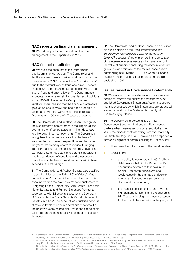#### NAO reports on financial management

28 We did not publish any reports on financial management in the Department in 2012.

#### NAO financial audit findings

29 We audit the accounts of the Department and its arm's-length bodies. The Comptroller and Auditor General gave a qualified audit opinion on the Department's *2011-12 Annual Report and Accounts*<sup>9</sup> due to the material level of fraud and error in benefit expenditure, other than the State Pension where the level of fraud and error is lower. The Department's accounts have received similar qualified audit opinions since 1988-89. However, the Comptroller and Auditor General did find that the financial statements gave a true and fair view and had been prepared in accordance with the Government Resources and Accounts Act 2000 and HM Treasury directions.

**30** The Comptroller and Auditor General recognised the Department's commitment to tackling fraud and error and the refreshed approach it intends to take to drive down incorrect payments. The Department recognises the problems created by the level of fraud and error in benefit expenditure and has, over the years, made many efforts to reduce it, ranging from introducing data-matching systems, advertising campaigns targeting actual and potential fraudsters and the application of sanctions and prosecutions. Nevertheless, the level of fraud and error within benefit expenditure remains high.

**31** The Comptroller and Auditor General also qualified his audit opinion on the *2011-12 Social Fund White Paper Account*10 for the ninth consecutive year. This account records the payments made to customers for Budgeting Loans, Community Care Grants, Sure Start Maternity Grants and Funeral Expenses Payments in accordance with Directions issued by the Secretary of State under the Social Security Contributions and Benefits Act 1992. The account was qualified because of material levels of error in discretionary awards. For the past two years he has also limited the scope of his audit opinion on the related levels of debt disclosed in the account.

**32** The Comptroller and Auditor General also qualified his audit opinion on the *Child Maintenance and Enforcement Commission Client Funds Account 2010-11*11 because of material errors in the calculation of maintenance assessments and a material error in the value of arrears, concluding the account does not give a true and fair view of the maintenance arrears outstanding at 31 March 2011. The Comptroller and Auditor General has qualified the Account on this basis since 1995.

#### Issues raised in Governance Statements

**33** We work with the Department and its sponsored bodies to improve the quality and transparency of published Governance Statements. We aim to ensure that the processes by which Statements are produced are robust and that the Statements comply with HM Treasury guidance.

34 The Department reported in its 2011-12 Governance Statement that one significant control challenge has been eased or addressed during the year – the process for forecasting Statutory Maternity Pay and Statutory Sick Pay. However, it also reported a further six significant control challenges. These were:

- The scale of fraud and error in the benefit system.
- Social Fund:
	- $\bullet$  an inability to corroborate the £1.2 billion debt balance held in the Department's accounting systems to that held in the Social Fund computer system and weaknesses in the standard of decisionmaking and procedures surrounding document management;
	- the financial position of the fund with a high demand for loans, and a reduction in HM Treasury funding there was a potential for the fund to face a deficit in the year; and

<sup>9</sup> Comptroller and Auditor General, *Department for Work and Pensions: 2011-12 Accounts* – Report by the Comptroller and Auditor General, July 2012. Available at: [www.nao.org.uk/publications/1213/dwp\\_2011-12.aspx](http://www.nao.org.uk/publications/1213/dwp_2011-12.aspx)

<sup>10</sup> Comptroller and Auditor General, *2011-12 Social Fund White Paper Account* – Report by the Comptroller and Auditor General, July 2012. Available at: [www.nao.org.uk/publications/1213/social\\_fund\\_2011-12.aspx](http://www.nao.org.uk/publications/1213/social_fund_2011-12.aspx)

<sup>11</sup> Comptroller and Auditor General, *Child Maintenance and Enforcement Commission Client Funds Account 2010-11* – Report by the Comptroller and Auditor General, May 2011. Available at: [www.nao.org.uk/publications/1213/cmec\\_account\\_2010-11.aspx](http://www.nao.org.uk/publications/1213/cmec_account_2010-11.aspx)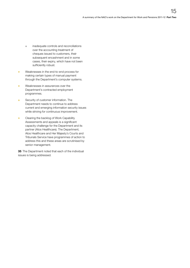- $\bullet$  inadequate controls and reconciliations over the accounting treatment of cheques issued to customers, their subsequent encashment and in some cases, their expiry, which have not been sufficiently robust.
- <sup>O</sup> Weaknesses in the end-to-end process for making certain types of manual payment through the Department's computer systems.
- <sup>O</sup> Weaknesses in assurances over the Department's contracted employment programmes.
- **Security of customer information. The** Department needs to continue to address current and emerging information security issues while striving for continuous improvement.
- **Clearing the backlog of Work Capability** Assessments and appeals is a significant capacity challenge for the Department and its partner (Atos Healthcare). The Department, Atos Healthcare and Her Majesty's Courts and Tribunals Service have programmes of action to address this and these areas are scrutinised by senior management.

**35** The Department noted that each of the individual issues is being addressed.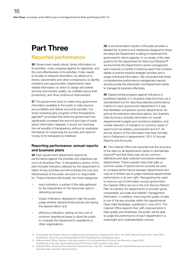# <span id="page-15-0"></span>Part Three

### Reported performance

36 Government needs robust, timely information on its activities, costs, progress against its objectives, and the cost-effectiveness of its activities. It also needs to be able to interpret information, by reference to trends, benchmarks and other comparisons, to identify problems and opportunities. Departments need reliable information on which to design and deliver services and monitor quality, be confident about their productivity, and drive continuous improvement.

**37** The government aims to make more government information available to the public to help improve accountability and deliver economic benefits. Our study reviewing early progress of this transparency agenda<sup>12</sup> concluded that while the government has significantly increased the amount and type of public sector information released, it would not maximise the net benefits of transparency without an evaluative framework for measuring the success and value for money of its transparency initiatives.

#### Reporting performance: annual reports and business plans

38 Each government department reports its performance against the priorities and objectives set out in its Business Plan. A transparency section of the plan includes indicators selected by the Department to reflect its key priorities and demonstrate the cost and effectiveness of the public services it is responsible for. These indicators fall broadly into three categories:

- input indicators: a subset of the data gathered by the Department on the resources used in delivering services;
- impact indicators: designed to help the public judge whether departmental policies are having the desired effect; and
- efficiency indicators: setting out the cost of common operational areas to allow the public to compare the Department's operations to other organisations.

39 A structural reform section of the plan provides a detailed list of actions and milestones designed to show the steps the Department is taking to implement the government's reform agenda. In our *review of the data systems for the Department for Work and Pensions*<sup>13</sup> we found that the Department's senior management team receives a monthly monitoring report that contains details of actions towards strategic priorities and a range of financial information. We concluded that these comprehensive performance management reports should provide the information the Department needs to manage its business effectively.

40 Departmental progress against indicators is published regularly in a Quarterly Data Summary as a standardised tool for reporting selected performance metrics for each government department in a way that facilitates comparison across departments. As well as the indicators described above, the Quarterly Data Summary includes information on overall departmental budgets and workforce statistics, and a wider selection of indicators on common areas of spend such as estates, procurement and ICT. An annual version of this information has been formally laid in Parliament in departments' 2011-12 Annual Reports and Accounts.

41 The Cabinet Office has reported that the accuracy of the data for all departments needs to dramatically improve14 and that there may not be common definitions and data collection processes between departments. These caveats mean that data on common areas of spend cannot currently be used to compare performance between departments and may be of limited use to judge individual departmental performance in its own right. Recognising the need to improve use of information across government, the Cabinet Office set out in the Civil Service Reform Plan its intention for departments to provide "good, comparable, accurate and reliable" management information. In addition, improving the quality of data is one of the key priorities within the departmental Open Data Strategies, published in June 2012. The Cabinet Office expects that, with improvements in data quality and timeliness, the public will be able to judge the performance of each department in a meaningful and understandable manner.

<sup>12</sup> Comptroller and Auditor General, *Implementing transparency*, Session 2010–2012, HC 1833, National Audit Office, April 2012. Available at: [www.nao.org.uk/publications/1012/implementing\\_transparency.aspx](http://www.nao.org.uk/publications/1012/implementing_transparency.aspx)

<sup>13</sup> National Audit Office, *Review of the data systems for the Department for Work and Pensions*, August 2012. Available at: [www.nao.org.uk/publications/1213/review\\_data\\_systems\\_dwp.aspx](http://www.nao.org.uk/publications/1213/review_data_systems_dwp.aspx)

<sup>14</sup> Cabinet Office, *Business Plan Quarterly Data Summary*, July 2011. Available at: [www.cabinetoffice.gov.uk/resource-library/](http://www.cabinetoffice.gov.uk/resource-library/business-plan-quarterly-data-summary) [business-plan-quarterly-data-summary](http://www.cabinetoffice.gov.uk/resource-library/business-plan-quarterly-data-summary)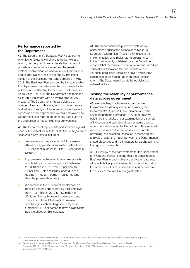#### Performance reported by the Department

42 The Department's *Business Plan*15 sets out its priorities for 2012-15 which are to deliver welfare reform, get people into work, tackle the causes of poverty and social injustice, reform the pension system, enable disabled people to fulfil their potential and to improve services to the public. The latest version of the Business Plan was published in May 2012. The Business Plan sets out the indicators which the Department considers are the most useful to the public in understanding the costs and outcomes of its activities. For 2012, the Department has replaced all its input indicators with an overall productivity measure. The Department has also defined a number of impact indicators, which include the rate of disability poverty and the number of employees in a pension scheme sponsored by their employer. The Department also reports on other key data such as the proportion of households that are workless.

43 The Department reported its performance against each of the indicators in its *2011-12 Annual Report and Accounts*. <sup>16</sup> Key results included:

- An increase in the proportion of Jobseeker's Allowance applications submitted online from 10.4 per cent in March 2011 to 19.6 per cent in March 2012.
- Improvement in the rate of pensioner poverty which fell by one percentage point between 2009-10 and 2010-11 from 15 per cent to 14 per cent. This has largely been due to a decline in median income in real terms (and thus the poverty threshold).
- A decrease in the number of employees in a pension scheme sponsored by their employer from 11.3 million in 2010 to 11.0 million in 2011, continuing the recent downward trend. The introduction of Automatic Enrolment, which begins with the largest employers in October 2012, is expected to have a significant positive effect on this indicator.

44 The Department also published data on its performance against the actions specified in its Structural Reform Plan. These mainly relate to the implementation of its major reform programmes. In the most recently published data the Department reported that there were two actions overdue: introduce Jobseeker's Allowance for lone parents whose youngest child is five years old or over; and publish a response to the Green Paper on State Pension reform. The Department has attributed delays to external factors.

#### Testing the reliability of performance data across government

45 We have begun a three-year programme to examine the data systems underpinning the Department's Business Plan indicators and other key management information. In August 2012 we published the results of our examination of a sample of indicators and operational data systems used to report performance for the Department. This involved a detailed review of the processes and controls governing: the selection, collection, processing and analysis of data; the match between the Department's stated objectives and the indicators it has chosen; and the reporting of results.

46 Our review of the data systems for the Department for Work and Pensions found that the Department's Business Plan impact indicators and other data sets align with its key priority areas, but its input indicators focus on the unit cost of operations and do not cover the quality of the input in any great detail.

<sup>15</sup> Department for Work and Pensions, *DWP Business Plan, May 2012*. Available at: [www.dwp.gov.uk/publications/corporate](http://www.dwp.gov.uk/publications/corporate-publications/dwp-business-plan-2011-2015/)[publications/dwp-business-plan-2011-2015/](http://www.dwp.gov.uk/publications/corporate-publications/dwp-business-plan-2011-2015/)

<sup>16</sup> Department for Work and Pensions, *Department for Work and Pensions Annual Report & Accounts 2011-12*, Session 2010-12, HC 53, Department for Work and Pensions, July 2012. Available at: [www.dwp.gov.uk/docs/dwp-annual-report](http://www.dwp.gov.uk/docs/dwp-annual-report-and-accounts-2011-2012.pdf)[and-accounts-2011-2012.pdf](http://www.dwp.gov.uk/docs/dwp-annual-report-and-accounts-2011-2012.pdf)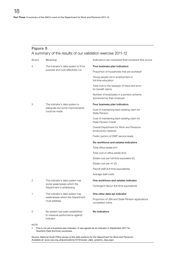#### Figure 5 A summary of the results of our validation exercise 2011-12

| Score       | <b>Meaning</b>                                                                                                                     | Indicators we reviewed that received this score                            |  |  |  |  |  |
|-------------|------------------------------------------------------------------------------------------------------------------------------------|----------------------------------------------------------------------------|--|--|--|--|--|
| 4           | The indicator's data system is fit for                                                                                             | Four business plan indicators                                              |  |  |  |  |  |
|             | purpose and cost-effectively run                                                                                                   | Proportion of households that are workless <sup>1</sup>                    |  |  |  |  |  |
|             |                                                                                                                                    | Young people not in employment or<br>full-time education                   |  |  |  |  |  |
|             |                                                                                                                                    | Total cost to the taxpayer of fraud and error<br>for benefit claims        |  |  |  |  |  |
|             |                                                                                                                                    | Number of employees in a pension scheme<br>sponsored by their employer     |  |  |  |  |  |
| 3           | The indicator's data system is                                                                                                     | Four business plan indicators                                              |  |  |  |  |  |
|             | adequate but some improvements<br>could be made                                                                                    | Cost of maintaining each existing claim for<br><b>State Pension</b>        |  |  |  |  |  |
|             |                                                                                                                                    | Cost of maintaining each existing claim for<br><b>State Pension Credit</b> |  |  |  |  |  |
|             |                                                                                                                                    | Overall Department for Work and Pensions<br>productivity measure           |  |  |  |  |  |
|             |                                                                                                                                    | Public opinion of DWP service levels                                       |  |  |  |  |  |
|             |                                                                                                                                    | Six workforce and estates indicators                                       |  |  |  |  |  |
|             |                                                                                                                                    | Total office estate (m <sup>2</sup> )                                      |  |  |  |  |  |
|             |                                                                                                                                    | Total cost of office estate (£m)                                           |  |  |  |  |  |
|             |                                                                                                                                    | Estate cost per full-time equivalent $(E)$                                 |  |  |  |  |  |
|             |                                                                                                                                    | Estate cost per $m^2$ (£)                                                  |  |  |  |  |  |
|             |                                                                                                                                    | Payroll staff (full-time equivalents)                                      |  |  |  |  |  |
|             |                                                                                                                                    | Average staff costs                                                        |  |  |  |  |  |
| 2           | The indicator's data system has                                                                                                    | One workforce and estates indicator                                        |  |  |  |  |  |
|             | some weaknesses which the<br>Department is addressing                                                                              | Contingent labour (full-time equivalents)                                  |  |  |  |  |  |
| 1           | The indicator's data system has                                                                                                    | One other data set indicator                                               |  |  |  |  |  |
|             | weaknesses which the Department<br>must address                                                                                    | Proportion of JSA and State Pension applications<br>completed online       |  |  |  |  |  |
| 0           | No system has been established<br>to measure performance against<br>indicator                                                      | No indicators                                                              |  |  |  |  |  |
| <b>NOTE</b> |                                                                                                                                    |                                                                            |  |  |  |  |  |
| 1           | This is not yet a business plan indicator. It was agreed as an indicator in September 2011 for<br>Quarterly Data Summary purposes. |                                                                            |  |  |  |  |  |

*Source: National Audit Office review of the data systems for the Department for Work and Pensions. Available at: [www.nao.org.uk/publications/1213/review\\_data\\_systems\\_dwp.aspx](http://www.nao.org.uk/publications/1213/review_data_systems_dwp.aspx)*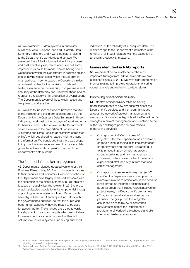47 We examined 16 data systems in our review, of which 9 were Business Plan and Quarterly Data Summary indicators and 7 were indicators relating to the Department's workforce and estates. We assessed four of the indicators to be fit for purpose and cost-effectively run, ten as adequate but some improvements could be made, one as having some weaknesses which the Department is addressing and one as having weaknesses which the Department must address. In some cases the Department relies on external bodies for the provision of data with limited assurance on the reliability, completeness and accuracy of the data provided. However, these bodies represent a relatively small proportion of overall spend. The Department is aware of these weaknesses and has plans to address them.

48 We also found inconsistencies between the title of the indicator and the information reported by the Department in the Quarterly Data Summary in three indicators; (total cost to the taxpayer of fraud and error for benefit claims, public opinion of the Department service levels and the proportion of Jobseeker's Allowance and State Pension applications completed online), which could lead to readers misinterpreting the information. We concluded that there was scope to improve the assurance framework for source data given the volume and complexity of some of the Department's data streams.

#### The future of information management

49 Departments released updated versions of their Business Plans in May 2012 which included changes to their priorities and indicators. Coalition priorities for the Department have largely remained the same with the exception of the disability theme. In 2011 this had focused on equality but the revision in 2012 refers to enabling disabled people to fulfil their potential through supporting more independent living. Departments have aligned their input and impact indicators with the government's priorities, so that the public can better understand how they are meant to be used for accountability. The changes are a step towards the alignment of costs and results which would allow for assessment of value for money, but they will not improve the data systems underlying published

indicators, or the reliability of subsequent data. The major change to the Department's indicators is the removal of all input indicators with the exception of an overall productivity measure.

#### Issues identified in NAO reports

**50** We present below a selection of the most important findings from individual reports we have published since July 2011. We have highlighted major themes relating to improving operations, ensuring robust controls and delivering welfare reform.

#### Improving operational delivery

**51** Effective project delivery relies on having good assessments of how changes will affect the Department's services and then putting in place a robust framework of project management and assurance. Our work has highlighted the Department's strengths in project management and identified some of the key challenges posed by new models of delivering services:

- <sup>O</sup> Our report on *Initiating successful projects*17 cited the Department as an example of good project planning in its implementation of Employment and Support Allowance due to its phased implementation approach, strong monitoring and risk management processes, collaborative contractor relations, experienced staff, and buy-in from staff and senior management.
- Our report on *Assurance for major projects*<sup>18</sup> identified the Department as a good practice example in relation to project assurance because it has formed an integrated assurance and approval group that includes representatives from project teams, the Department's programme office, and external and internal assurance partners. The group uses the integrated assurance plans to review all assurance requirements across the Department's programme of work to help schedule and align internal and external assurance.

<sup>17</sup> National Audit Office, *NAO Guide: Initiating successful projects*, December 2011. Available at: [www.nao.org.uk/publications/1012/](http://www.nao.org.uk/publications/1012/initiating_successful_projects.aspx) [initiating\\_successful\\_projects.aspx](http://www.nao.org.uk/publications/1012/initiating_successful_projects.aspx)

<sup>18</sup> Comptroller and Auditor General, *Assurance for major projects*, Session 2010–2012, HC 1698, National Audit Office, May 2012. Available at: [www.nao.org.uk/publications/1012/assurance\\_for\\_major\\_projects.aspx](http://www.nao.org.uk/publications/1012/assurance_for_major_projects.aspx)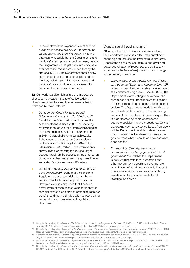In the context of the expanded role of external providers in service delivery, our report on the *Introduction of the Work Programme*, <sup>19</sup> found that there was a risk that the Department's and providers' assumptions about how many people the Programme would get back into work were over-optimistic. We recommended that by the end of July 2012, the Department should draw up a schedule of the assumptions it needs to monitor, including non-intervention rates and providers' costs, and detail its approach to gathering the necessary information.

**52** Our work has also highlighted the importance of assessing broader risks to effective delivery of services when the role of government is being reshaped by major reforms:

- <sup>O</sup> Our report on *Child Maintenance and Enforcement Commission: Cost Reduction*<sup>20</sup> found that the Commission had improved its cost-effectiveness since 2006. The spending review plan to reduce the Commission's funding from £560 million in 2010-11 to £399 million in 2014-15 was challenging but achievable. Subsequent changes to the Commission's budgets increased its target for 2014-15 by £44 million to £443 million. The Commission's current plans for meeting this revised target depend largely on the successful implementation of two major changes: a new charging regime for separated families and a new IT system.
- <sup>O</sup> Our report on *Regulating defined contribution pension schemes*21 found that the Pensions Regulator has assessed risks to members and its overall risk-based approach is sound. However, we also concluded that it needed better information to assess value for money of its wider strategic objective of protecting member benefits, and that no single body has overarching responsibility for the delivery of regulatory objectives.

#### Controls and fraud and error

53 A core theme of our work is to ensure that the Department exercises adequate control over spending and reduces the level of fraud and error. Understanding the causes of fraud and error and better coordination of responses are particularly important in the face of major reforms and changes to the delivery of services:

- <sup>O</sup> *The Comptroller and Auditor General's Report on the Annual Report and Accounts 2011-12*<sup>22</sup> noted that fraud and error rates have remained at a consistently high level since 1988-89. The Department is attempting to drive down the number of incorrect benefit payments as part of its implementation of changes to the benefits system. The Department needs to continue to enhance its understanding of the underlying causes of fraud and error in benefit expenditure in order to develop more effective and accurate decision-making procedures. Only by developing such an evidence-based framework will the Department be able to demonstrate that it has sufficient systems to minimise the gap between what it should achieve and what it does achieve.
- <sup>O</sup> Our report on *Central government's communication and engagement with local government*23 found that the Department is now working with local authorities and other government departments to improve coordination of fraud and error initiatives and to examine options to involve local authority investigation teams in the single fraud investigation service.

<sup>19</sup> Comptroller and Auditor General, *The introduction of the Work Programme*, Session 2010–2012, HC 1701, National Audit Office, January 2012. Available at: [www.nao.org.uk/publications/1012/dwp\\_work\\_programme.aspx](http://www.nao.org.uk/publications/1012/dwp_work_programme.aspx) 

<sup>20</sup> Comptroller and Auditor General, *Child Maintenance and Enforcement Commission: cost reduction*, Session 2010–2012, HC 1793, National Audit Office, February 2012. Available at: [www.nao.or publications/1012/cmec\\_cost\\_reduction.aspx](http://www.nao.org.uk/publications/1012/cmec_cost_reduction.aspx)

<sup>21</sup> Comptroller and Auditor General, *Regulating defined contribution pension schemes*, Session 2012-13, HC 466, National Audit Office, July 2012. Available at: [www.nao.org.uk/publications/1213/defined\\_contribution\\_pensions.aspx](http://www.nao.org.uk/publications/1213/defined_contribution_pensions.aspx)

<sup>22</sup> Comptroller and Auditor General, *Department for Work and Pensions: 2011-12 Accounts* – Report by the Comptroller and Auditor General, July 2012. Available at: [www.nao.org.uk/publications/1213/dwp\\_2011-12.aspx](http://www.nao.org.uk/publications/1213/dwp_2011-12.aspx) 

<sup>23</sup> Comptroller and Auditor General, *Central government's communication and engagement with local government*, Session 2012-13, HC 187, National Audit Office, June 2012. Available at: [www.nao.org.uk/publications/1213/central\\_and\\_local\\_government.aspx](http://www.nao.org.uk/publications/1213/central_and_local_government.aspx)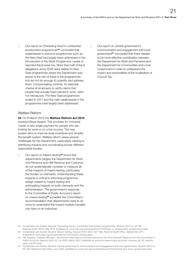**•** Our report on *Preventing fraud in contracted employment programmes*24 concluded that weaknesses in previous programmes such as the New Deal had largely been addressed in the introduction of the Work Programme. Levels of reported fraud were low. More than half of fraud allegations since 2006 were related to New Deal programmes where the Department was aware of the risk of fraud in the programmes but did not do enough to quantify and address them. Compensating controls, for example checks at employers to verify claims that people had actually been placed in work, were not introduced. The New Deal programmes ended in 2011 and the main weaknesses in the programmes have largely been addressed.

#### Welfare Reform

54 On 8 March 2012 the Welfare Reform Act 2012 received Royal Assent. This provides for Universal Credit, a new single payment for people who are looking for work or on a low income. The new system aims to improve work incentives and simplify the benefit system. Welfare reform raises several challenges for the Department, particularly relating to identifying impacts and coordinating across different responsible bodies:

Our report on *Means testing*<sup>25</sup> found that departments (largely the Department for Work and Pensions and HM Revenue and Customs) do not systematically consider or measure all of the impacts of means testing, particularly the burden on claimants. Understanding these impacts is critical to informing programme design related to means testing and anticipating impacts on both claimants and the administration. The government's response to the Committee of Public Account's report on means testing26 accepted the Committee's recommendation that departments need to do more to understand the impact multiple benefits can have on an individual.

<sup>O</sup> Our report on *Central government's communication and engagement with local government*27 concluded that there needed to be more effective coordination between the Department for Work and Pensions and the Department for Communities and Local Government in order to understand the impact and practicalities of the localisation of Council Tax.

- 24 Comptroller and Auditor General, *Preventing fraud in contracted employment programmes*, Session 2012-13, HC 90, National Audit Office, May 2012. Available at: [www.nao.org.uk/publications/1213/fraud\\_in\\_employment\\_programmes.aspx](http://www.nao.org.uk/publications/1213/fraud_in_employment_programmes.aspx)
- 25 Comptroller and Auditor General, Means testing, Session 2010–2012, HC 1464, National Audit Office, September 2011. Available at: [www.nao.org.uk/publications/1012/means\\_testing.aspx](http://www.nao.org.uk/publications/1012/means_testing.aspx)
- 26 HM Treasury, Treasury Minutes *Government reponses on the Sixty Second to the Sixty Seventh Reports from the Committee of Public Accounts* Session 2010-12, Cm 8335, March 2012. Available at: [www.hm-treasury.gov.uk/d/hmt\\_minutes\\_62\\_67\\_reports\\_](http://www.hm-treasury.gov.uk/d/hmt_minutes_62_67_reports_cpas_mar2012.pdf) cpas\_mar2012.pdf
- 27 Comptroller and Auditor General, *Central government's communication and engagement with local government*, Session 2012-13, HC 187, National Audit Office, June 2012. Available at: [www.nao.org.uk/publications/1213/central\\_and\\_local\\_government.aspx](http://www.nao.org.uk/publications/1213/central_and_local_government.aspx)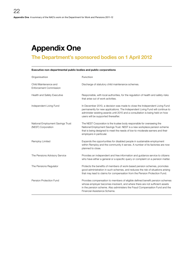# <span id="page-21-0"></span>Appendix One

### The Department's sponsored bodies on 1 April 2012

| Organisation                                            | <b>Function</b>                                                                                                                                                                                                                                                                      |
|---------------------------------------------------------|--------------------------------------------------------------------------------------------------------------------------------------------------------------------------------------------------------------------------------------------------------------------------------------|
| Child Maintenance and<br><b>Enforcement Commission</b>  | Discharge of statutory child maintenance schemes.                                                                                                                                                                                                                                    |
| <b>Health and Safety Executive</b>                      | Responsible, with local authorities, for the regulation of health and safety risks<br>that arise out of work activities.                                                                                                                                                             |
| Independent Living Fund                                 | In December 2010, a decision was made to close the Independent Living Fund<br>permanently for new applications. The Independent Living Fund will continue to<br>administer existing awards until 2015 and a consultation is being held on how<br>users will be supported thereafter. |
| National Employment Savings Trust<br>(NEST) Corporation | The NEST Corporation is the trustee body responsible for overseeing the<br>National Employment Savings Trust. NEST is a new workplace pension scheme<br>that is being designed to meet the needs of low-to-moderate earners and their<br>employers in particular.                    |
| Remploy Limited                                         | Expands the opportunities for disabled people in sustainable employment<br>within Remploy and the community it serves. A number of its factories are now<br>planned to close.                                                                                                        |
| The Pensions Advisory Service                           | Provides an independent and free information and guidance service to citizens<br>who have either a general or a specific query or complaint on a pension matter.                                                                                                                     |
| The Pensions Regulator                                  | Protects the benefits of members of work-based pension schemes, promotes<br>good administration in such schemes, and reduces the risk of situations arising<br>that may lead to claims for compensation from the Pension Protection Fund.                                            |
| Pension Protection Fund                                 | Provides compensation to members of eligible defined benefit pension schemes<br>whose employer becomes insolvent, and where there are not sufficient assets<br>in the pension scheme. Also administers the Fraud Compensation Fund and the<br>Financial Assistance Scheme.           |

#### Executive non-departmental public bodies and public corporations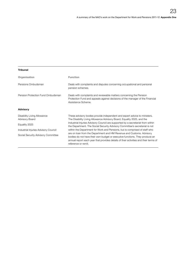#### Tribunal

| Organisation                                  | <b>Function</b>                                                                                                                                                                                                                                                    |
|-----------------------------------------------|--------------------------------------------------------------------------------------------------------------------------------------------------------------------------------------------------------------------------------------------------------------------|
| Pensions Ombudsman                            | Deals with complaints and disputes concerning occupational and personal<br>pension schemes.                                                                                                                                                                        |
| Pension Protection Fund Ombudsman             | Deals with complaints and reviewable matters concerning the Pension<br>Protection Fund and appeals against decisions of the manager of the Financial<br>Assistance Scheme.                                                                                         |
| Advisory                                      |                                                                                                                                                                                                                                                                    |
| Disability Living Allowance<br>Advisory Board | These advisory bodies provide independent and expert advice to ministers.<br>The Disability Living Allowance Advisory Board, Equality 2025, and the                                                                                                                |
| Equality 2025                                 | Industrial Injuries Advisory Council are supported by a secretariat from within<br>the Department. The Social Security Advisory Committee's secretariat is not                                                                                                     |
| Industrial Injuries Advisory Council          | within the Department for Work and Pensions, but is comprised of staff who                                                                                                                                                                                         |
| Social Security Advisory Committee            | are on loan from the Department and HM Revenue and Customs. Advisory<br>bodies do not have their own budget or executive functions. They produce an<br>annual report each year that provides details of their activities and their terms of<br>reference or remit. |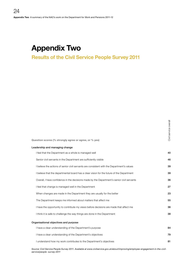### <span id="page-23-0"></span>Appendix Two

### Results of the Civil Service People Survey 2011

| Question scores (% strongly agree or agree, or % yes)                                      | 89<br>Civil |
|--------------------------------------------------------------------------------------------|-------------|
| Leadership and managing change                                                             |             |
| I feel that the Department as a whole is managed well                                      | 40          |
| Senior civil servants in the Department are sufficiently visible                           | 46          |
| I believe the actions of senior civil servants are consistent with the Department's values | 39          |
| I believe that the departmental board has a clear vision for the future of the Department  | 39          |
| Overall, I have confidence in the decisions made by the Department's senior civil servants | 36          |
| I feel that change is managed well in the Department                                       | 27          |
| When changes are made in the Department they are usually for the better                    | 23          |
| The Department keeps me informed about matters that affect me                              | 55          |
| I have the opportunity to contribute my views before decisions are made that affect me     | 36          |
| I think it is safe to challenge the way things are done in the Department                  | 38          |
| Organisational objectives and purpose                                                      |             |
| I have a clear understanding of the Department's purpose                                   | 84          |
| I have a clear understanding of the Department's objectives                                | 79          |
| I understand how my work contributes to the Department's objectives                        | 81          |
|                                                                                            |             |

 $\overline{\overline{6}}$ 

*Source: Civil Service People Survey 2011. Available at [www.civilservice.gov.uk/about/improving/employee-engagement-in-the-civil](www.civilservice.gov.uk/about/improving/employee-engagement-in-the-civil-service/people -survey-2011)[service/people -survey-2011](www.civilservice.gov.uk/about/improving/employee-engagement-in-the-civil-service/people -survey-2011)*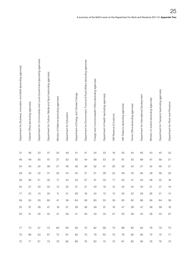| Department for Business, Innovation and Skills (excluding agencies)<br>Cabinet Office (excluding agencies) |       | Department for Communities and Local Government (excluding agencies) | Department for Culture, Media and Sport (excluding agencies) | Ministry of Defence (excluding agencies) | Department for Education | Department of Energy and Climate Change | Department for Environment, Food and Rural Affairs (excluding agencies) | Foreign and Commonwealth Office (excluding agencies) | Department of Health (excluding agencies) | HM Revenue & Customs | HM Treasury (excluding agencies) | Home Office (excluding agencies) | Department for International Development | Ministry of Justice (excluding agencies) | Department for Transport (excluding agencies) | Department for Work and Pensions |
|------------------------------------------------------------------------------------------------------------|-------|----------------------------------------------------------------------|--------------------------------------------------------------|------------------------------------------|--------------------------|-----------------------------------------|-------------------------------------------------------------------------|------------------------------------------------------|-------------------------------------------|----------------------|----------------------------------|----------------------------------|------------------------------------------|------------------------------------------|-----------------------------------------------|----------------------------------|
| 38<br>31                                                                                                   |       | $23\,$                                                               | 37                                                           | $20\,$                                   | 49                       | 41                                      | 31                                                                      | 54                                                   | 33                                        | 18                   | 55                               | 44                               | 60                                       | 43                                       | $45\,$                                        | 23                               |
| 46<br>49                                                                                                   |       | $35\,$                                                               | 47                                                           | 27                                       | 53                       | 62                                      | $44$                                                                    | 56                                                   | $53\,$                                    | 31                   | 67                               | 50                               | 68                                       | $47\,$                                   | 59                                            | 21                               |
| 34<br>40                                                                                                   |       | 24                                                                   | 39                                                           | $27\,$                                   | 46                       | 48                                      | 34                                                                      | 52                                                   | 41                                        | 25                   | 52                               | 44                               | 57                                       | 42                                       | 46                                            | 21                               |
| 29<br>33                                                                                                   |       | $22\,$                                                               | 31                                                           | $20\,$                                   | 43                       | 30                                      | 21                                                                      | 51                                                   | $28\,$                                    | 22                   | $39\,$                           | $33\,$                           | 60                                       | $39\,$                                   | $36\,$                                        | 20                               |
| 38<br>$28\,$                                                                                               |       | 21                                                                   | $32\,$                                                       | $17\,$                                   | 43                       | 43                                      | $27\,$                                                                  | 47                                                   | $33\,$                                    | 17                   | $53\,$                           | 41                               | 53                                       | $38\,$                                   | 42                                            | 16                               |
| $24\,$<br>27                                                                                               |       | $20\,$                                                               | $33\,$                                                       | $12 \overline{ }$                        | 32                       | 31                                      | 21                                                                      | $40\,$                                               | 19                                        | 15                   | $42\,$                           | 24                               | 40                                       | 31                                       | 31                                            | 19                               |
| 22<br>17<br>59<br>55                                                                                       |       | $10$<br>50                                                           | 20<br>60                                                     | 9<br>41                                  | 21<br>58                 | $26\,$<br>64                            | 16<br>56                                                                | 34<br>60                                             | 12<br>53                                  | 13<br>39             | $33\,$<br>65                     | 22<br>62                         | 29<br>68                                 | $26\,$<br>56                             | 21<br>64                                      | 14<br>-39                        |
| 32<br>37                                                                                                   |       | 28                                                                   | 47                                                           | 19                                       | 37                       | 36                                      | 38                                                                      | 39                                                   | 37                                        | 18                   | 47                               | 38                               | 47                                       | 36                                       | 39 18                                         |                                  |
| 33<br>41                                                                                                   |       |                                                                      | 25 42 31                                                     |                                          |                          | 39 41 40 43 33 27 55                    |                                                                         |                                                      |                                           |                      |                                  | 39                               | 43                                       | 36                                       | 45 27                                         |                                  |
|                                                                                                            |       |                                                                      |                                                              |                                          |                          |                                         |                                                                         |                                                      |                                           |                      |                                  |                                  |                                          |                                          |                                               |                                  |
| 77<br>73                                                                                                   |       | 57                                                                   | 73                                                           | 80                                       | 85                       | 90                                      | 75                                                                      | 82                                                   | 69                                        | 73                   | 88                               | 85                               | 94                                       | 78                                       | 79                                            | 73                               |
| 66<br>70                                                                                                   |       | 53                                                                   | 67                                                           | 72                                       | 81                       | 85                                      | 70                                                                      | 79                                                   | 63                                        | 70                   | 78                               | 80                               | 93                                       | 72                                       | 74 71                                         |                                  |
|                                                                                                            | 75 71 | 61                                                                   | 73 76                                                        |                                          |                          | 82 88 76 83                             |                                                                         |                                                      |                                           | 72 73                | 81                               | 82                               | 90                                       | 76                                       | 76 73                                         |                                  |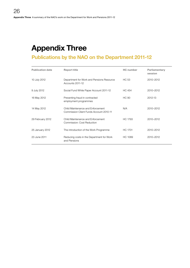# <span id="page-25-0"></span>Appendix Three

### Publications by the NAO on the Department 2011-12

| <b>Publication date</b> | <b>Report title</b>                                                          | <b>HC</b> number | Parliamentary<br>session |
|-------------------------|------------------------------------------------------------------------------|------------------|--------------------------|
| 10 July 2012            | Department for Work and Pensions Resource<br>Accounts 2011-12                | HC 53            | 2010-2012                |
| 9 July 2012             | Social Fund White Paper Account 2011-12                                      | <b>HC 454</b>    | 2010-2012                |
| 16 May 2012             | Preventing fraud in contracted<br>employment programmes                      | HC 90            | 2012-13                  |
| 14 May 2012             | Child Maintenance and Enforcement<br>Commission Client Funds Account 2010-11 | N/A              | 2010-2012                |
| 29 February 2012        | Child Maintenance and Enforcement<br>Commission: Cost Reduction              | HC 1793          | 2010-2012                |
| 25 January 2012         | The introduction of the Work Programme                                       | <b>HC 1701</b>   | 2010-2012                |
| 23 June 2011            | Reducing costs in the Department for Work<br>and Pensions                    | HC 1089          | 2010-2012                |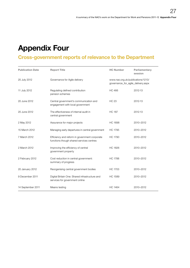# <span id="page-26-0"></span>Appendix Four

### Cross-government reports of relevance to the Department

| <b>Publication Date</b> | <b>Report Title</b>                                                                       |                                                                         | Parliamentary<br>session |
|-------------------------|-------------------------------------------------------------------------------------------|-------------------------------------------------------------------------|--------------------------|
| 25 July 2012            | Governance for Agile delivery                                                             | www.nao.org.uk/publications/1213/<br>governance_for_agile_delivery.aspx |                          |
| 11 July 2012            | Regulating defined contribution<br>pension schemes                                        | <b>HC 466</b>                                                           | 2012-13                  |
| 20 June 2012            | Central government's communication and<br>engagement with local government                | <b>HC 23</b>                                                            | 2012-13                  |
| 20 June 2012            | The effectiveness of internal audit in<br>central government                              | <b>HC 187</b>                                                           | 2012-13                  |
| 2 May 2012              | Assurance for major projects                                                              | <b>HC 1698</b>                                                          | 2010-2012                |
| 15 March 2012           | Managing early departures in central government                                           | <b>HC 1795</b>                                                          | 2010-2012                |
| 7 March 2012            | Efficiency and reform in government corporate<br>functions though shared services centres | <b>HC 1790</b>                                                          | 2010-2012                |
| 2 March 2012            | Improving the efficiency of central<br>government property                                | <b>HC 1826</b>                                                          | 2010-2012                |
| 2 February 2012         | Cost reduction in central government:<br>summary of progress                              | <b>HC 1788</b>                                                          | 2010-2012                |
| 20 January 2012         | Reorganising central government bodies                                                    | <b>HC 1703</b>                                                          | 2010-2012                |
| 9 December 2011         | Digital Britain One: Shared infrastructure and<br>services for government online          | <b>HC 1589</b>                                                          | 2010-2012                |
| 14 September 2011       | Means testing                                                                             | <b>HC 1464</b>                                                          | 2010-2012                |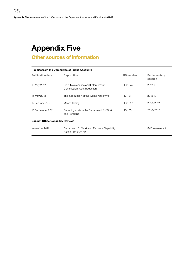# <span id="page-27-0"></span>Appendix Five

### Other sources of information

| <b>Reports from the Committee of Public Accounts</b> |                                                                    |                  |                          |  |  |  |  |  |
|------------------------------------------------------|--------------------------------------------------------------------|------------------|--------------------------|--|--|--|--|--|
| <b>Publication date</b>                              | <b>Report title</b>                                                | <b>HC</b> number | Parliamentary<br>session |  |  |  |  |  |
| 18 May 2012                                          | Child Maintenance and Enforcement<br>Commission: Cost Reduction    | <b>HC 1874</b>   | 2012-13                  |  |  |  |  |  |
| 15 May 2012                                          | The introduction of the Work Programme                             | HC 1814          | 2012-13                  |  |  |  |  |  |
| 12 January 2012                                      | Means testing                                                      | HC 1617          | 2010-2012                |  |  |  |  |  |
| 13 September 2011                                    | Reducing costs in the Department for Work<br>and Pensions          | HC 1351          | 2010-2012                |  |  |  |  |  |
| <b>Cabinet Office Capability Reviews</b>             |                                                                    |                  |                          |  |  |  |  |  |
| November 2011                                        | Department for Work and Pensions Capability<br>Action Plan 2011-12 |                  | Self-assessment          |  |  |  |  |  |